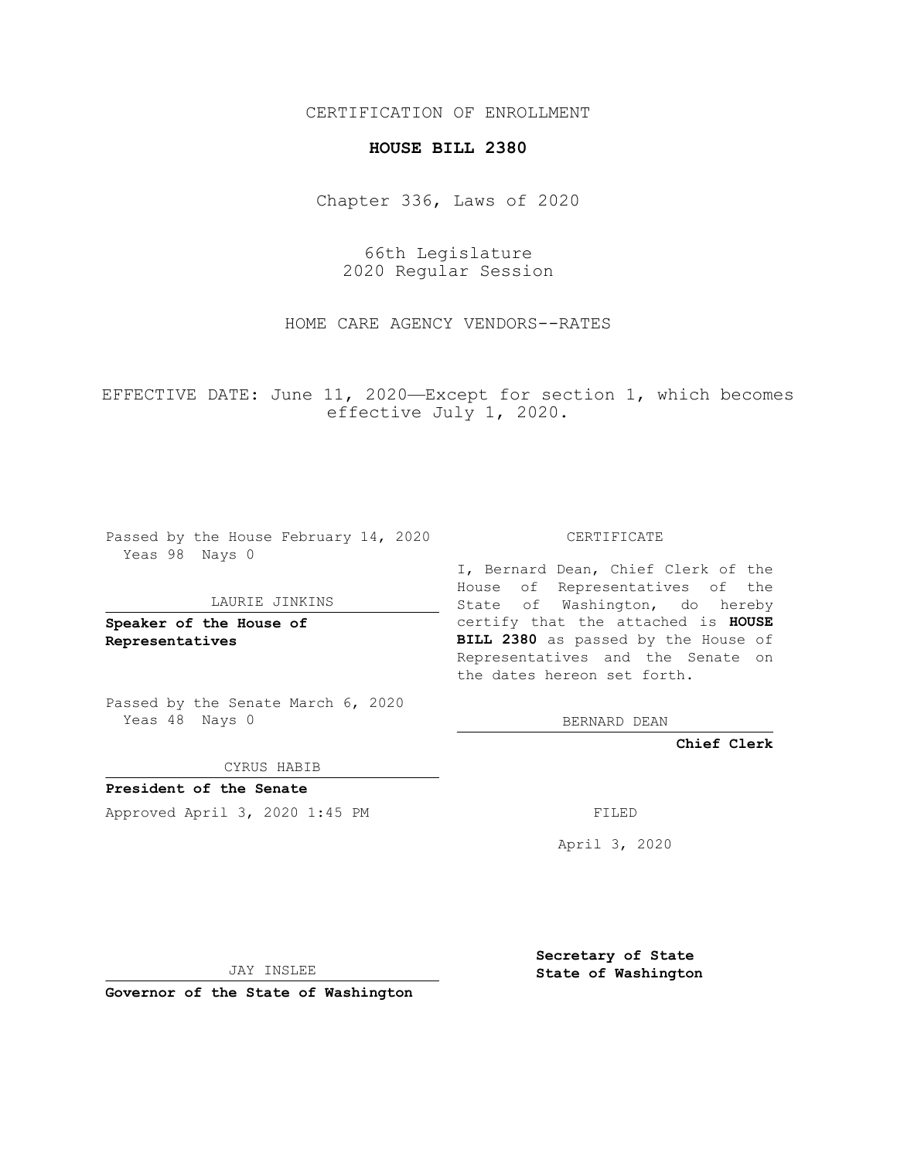# CERTIFICATION OF ENROLLMENT

## **HOUSE BILL 2380**

Chapter 336, Laws of 2020

66th Legislature 2020 Regular Session

HOME CARE AGENCY VENDORS--RATES

EFFECTIVE DATE: June 11, 2020—Except for section 1, which becomes effective July 1, 2020.

Passed by the House February 14, 2020 Yeas 98 Nays 0

#### LAURIE JINKINS

**Speaker of the House of Representatives**

Passed by the Senate March 6, 2020 Yeas 48 Nays 0

CYRUS HABIB

**President of the Senate** Approved April 3, 2020 1:45 PM FILED

CERTIFICATE

I, Bernard Dean, Chief Clerk of the House of Representatives of the State of Washington, do hereby certify that the attached is **HOUSE BILL 2380** as passed by the House of Representatives and the Senate on the dates hereon set forth.

BERNARD DEAN

**Chief Clerk**

April 3, 2020

JAY INSLEE

**Governor of the State of Washington**

**Secretary of State State of Washington**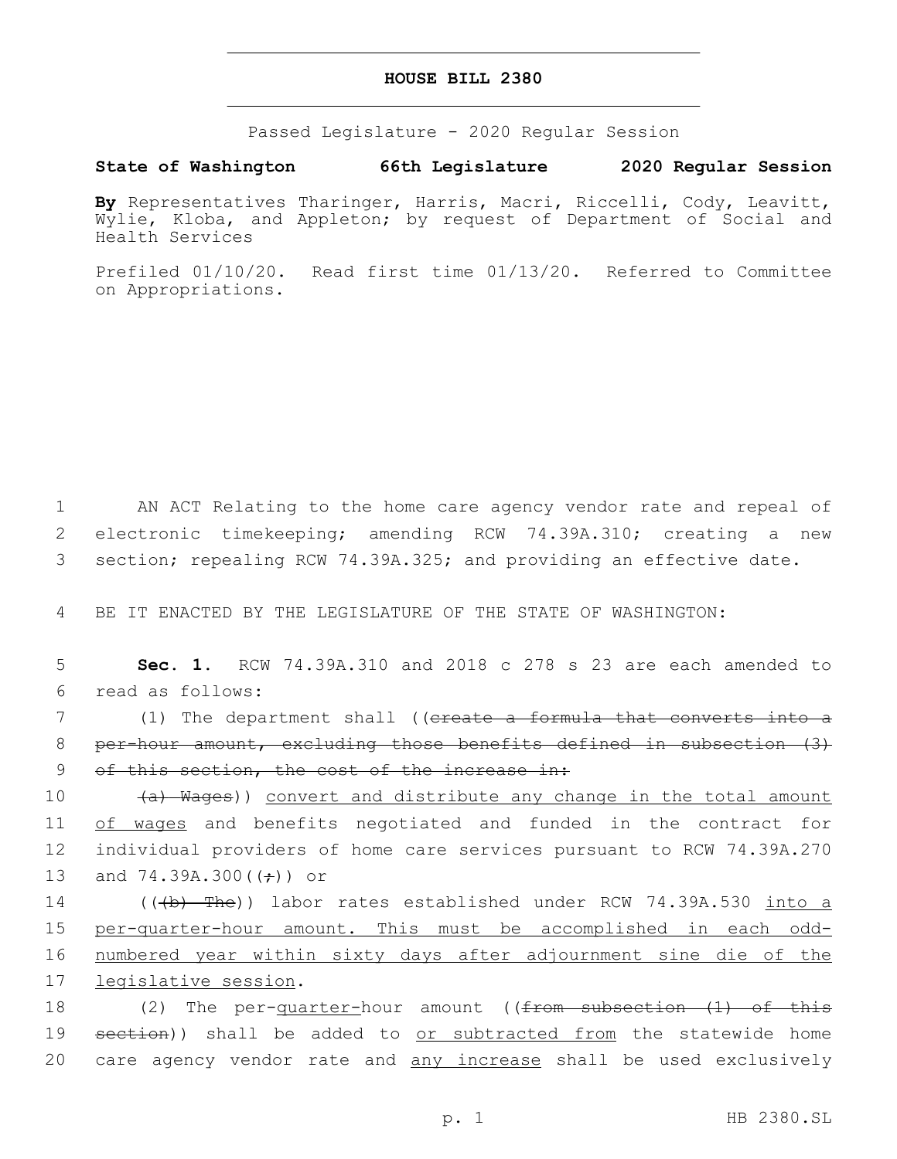## **HOUSE BILL 2380**

Passed Legislature - 2020 Regular Session

# **State of Washington 66th Legislature 2020 Regular Session**

**By** Representatives Tharinger, Harris, Macri, Riccelli, Cody, Leavitt, Wylie, Kloba, and Appleton; by request of Department of Social and Health Services

Prefiled 01/10/20. Read first time 01/13/20. Referred to Committee on Appropriations.

1 AN ACT Relating to the home care agency vendor rate and repeal of 2 electronic timekeeping; amending RCW 74.39A.310; creating a new 3 section; repealing RCW 74.39A.325; and providing an effective date.

4 BE IT ENACTED BY THE LEGISLATURE OF THE STATE OF WASHINGTON:

5 **Sec. 1.** RCW 74.39A.310 and 2018 c 278 s 23 are each amended to read as follows:6

7 (1) The department shall ((ereate a formula that converts into a 8 per-hour amount, excluding those benefits defined in subsection (3) 9 of this section, the cost of the increase in:

10 (a) Wages)) convert and distribute any change in the total amount 11 of wages and benefits negotiated and funded in the contract for 12 individual providers of home care services pursuant to RCW 74.39A.270 13 and 74.39A.300 $((\div))$  or

14 (((b) The)) labor rates established under RCW 74.39A.530 into a 15 per-quarter-hour amount. This must be accomplished in each odd-16 numbered year within sixty days after adjournment sine die of the 17 legislative session.

18 (2) The per-<u>quarter-</u>hour amount ((<del>from subsection (1) of this</del> 19 section)) shall be added to or subtracted from the statewide home 20 care agency vendor rate and any increase shall be used exclusively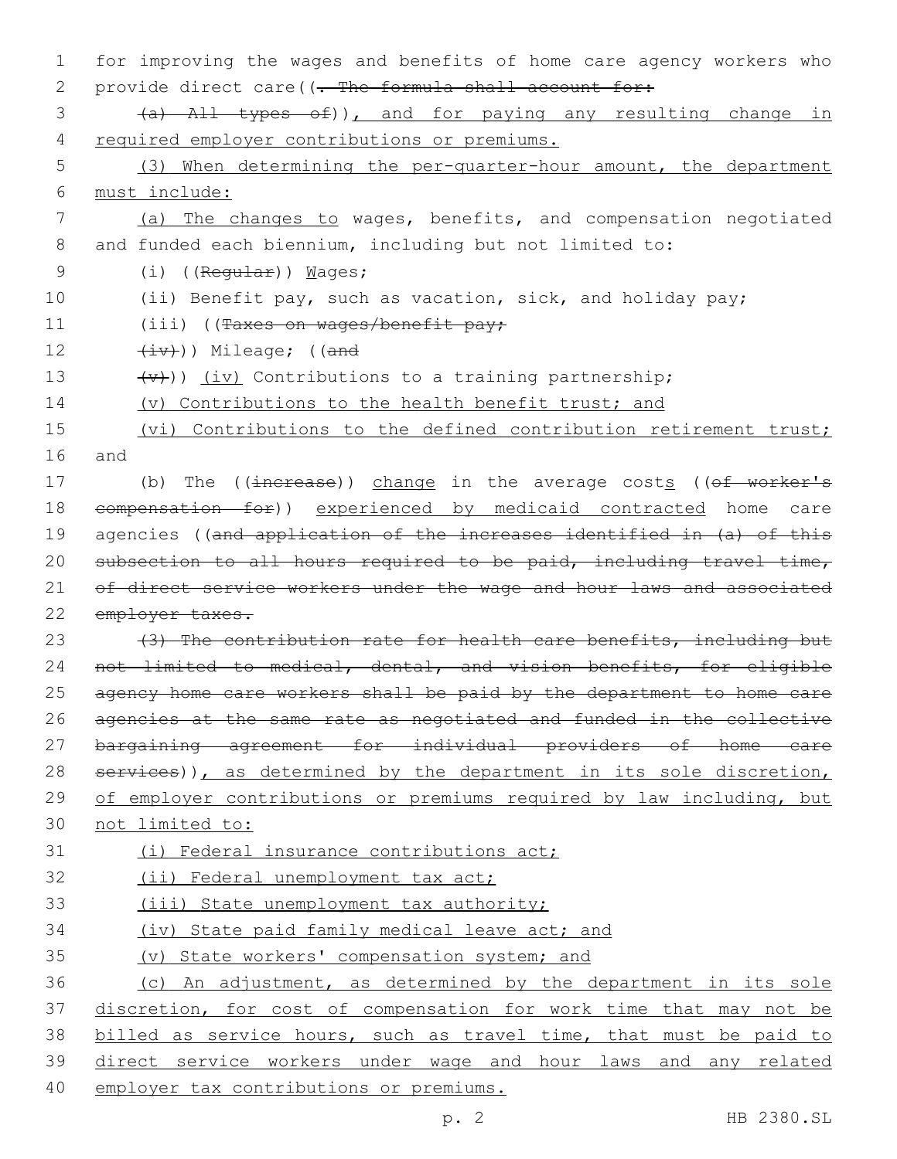| 1  | for improving the wages and benefits of home care agency workers who               |
|----|------------------------------------------------------------------------------------|
| 2  | provide direct care ((. The formula shall account for:                             |
| 3  | (a) All types of)), and for paying any resulting change in                         |
| 4  | required employer contributions or premiums.                                       |
| 5  | (3) When determining the per-quarter-hour amount, the department                   |
| 6  | must include:                                                                      |
| 7  | (a) The changes to wages, benefits, and compensation negotiated                    |
| 8  | and funded each biennium, including but not limited to:                            |
| 9  | $(i)$ ((Regular)) Mages;                                                           |
| 10 | (ii) Benefit pay, such as vacation, sick, and holiday pay;                         |
| 11 | $(iii)$ ((Taxes on wages/benefit pay;                                              |
| 12 | $(\pm v)$ ) Mileage; ((and                                                         |
| 13 | $\overline{(v+1)}$ ) (iv) Contributions to a training partnership;                 |
| 14 | (v) Contributions to the health benefit trust; and                                 |
| 15 | (vi) Contributions to the defined contribution retirement trust;                   |
| 16 | and                                                                                |
| 17 | (b) The $((\text{increase})$ ) change in the average costs $((\text{of worker's})$ |
| 18 | eompensation for)) experienced by medicaid contracted home care                    |
| 19 | agencies ((and application of the increases identified in (a) of this              |
| 20 | subsection to all hours required to be paid, including travel time,                |
| 21 | of direct service workers under the wage and hour laws and associated              |
| 22 | employer taxes.                                                                    |
| 23 | (3) The contribution rate for health care benefits, including but                  |
| 24 | not limited to medical, dental, and vision benefits, for eligible                  |
| 25 | agency home care workers shall be paid by the department to home care              |
| 26 | agencies at the same rate as negotiated and funded in the collective               |
| 27 | bargaining agreement for individual providers of home care                         |
| 28 | services)), as determined by the department in its sole discretion,                |
| 29 | of employer contributions or premiums required by law including, but               |
| 30 | not limited to:                                                                    |
| 31 | (i) Federal insurance contributions act;                                           |
| 32 | (ii) Federal unemployment tax act;                                                 |
| 33 | (iii) State unemployment tax authority;                                            |
| 34 | (iv) State paid family medical leave act; and                                      |
| 35 | (v) State workers' compensation system; and                                        |
| 36 | (c) An adjustment, as determined by the department in its sole                     |
| 37 | discretion, for cost of compensation for work time that may not be                 |
| 38 | billed as service hours, such as travel time, that must be paid to                 |
| 39 | direct service workers under wage and hour laws and any related                    |
| 40 | employer tax contributions or premiums.                                            |